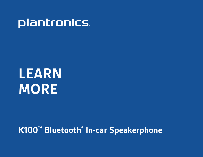## **plantronics**

# **LEARN MORE**

### **K100™ Bluetooth® In-car Speakerphone**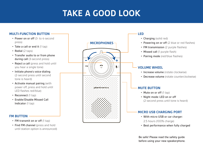### **TAKE A GOOD LOOK**

### **MULTI-FUNCTION BUTTON**

- Power on or off (3- to 4-second press)
- Take a call or end it (1 tap)
- Redial (2 taps)
- Transfer audio to or from phone during call (3-second press)
- Reject a call (press and hold until you hear a single tone)
- Initiate phone's voice-dialing (2-second press until second tone is heard)
- Activate manual pairing (with power off, press and hold until LED flashes red/blue)
- **Reconnect** (1 tap)
- • Enable/Disable Missed Call Indicator (1 tap)

#### **FM BUTTON**

- FM transmit on or off (1 tap)
- Find FM channel (press and hold until station option is announced)



### **LED**

- Charging (solid red)
- Powering on or off (2 blue or red flashes)
- FM transmission (2 purple flashes)
- Missed call (1 purple flash)
- Pairing mode (red/blue flashes)

### **VOLUME WHEEL**

- Increase volume (rotate clockwise)
- Decrease volume (rotate counterclockwise)

### **MUTE BUTTON**

- Mute on or off (1 tap)
- • Night mode: LED on or off (2-second press until tone is heard)

### **MICRO USB CHARGING PORT**

- With micro USB or car charger:
	- 2.5 hours (100% charge)
- • Best performance when fully charged

Be safe! Please read the safety guide before using your new speakerphone.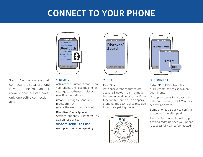### **CONNECT TO YOUR PHONE**



"Pairing" is the process that connects the speakerphone to your phone. You can pair more phones but can have only one active connection at a time.

### **1. READY**

Activate the Bluetooth feature on your phone, then use the phone's settings to add/search/discover new Bluetooth devices.

iPhone: Settings > General > Bluetooth > On (starts the search for devices)

#### BlackBerry® smartphone:

Settings/options > Bluetooth: On > Search for devices

#### **VIDEO TUTORIAL FOR USA:**

<www.plantronics.com/pairing>



### **2. SET**

#### First Time:

With speakerphone turned off, activate Bluetooth pairing mode by pressing and holding the Multifunction button to turn on speakerphone. The LED flashes red/blue to indicate pairing mode.





### **3. CONNECT**

Select "PLT\_K100" from the list of Bluetooth devices shown on your phone.

If the phone asks for a passcode, enter four zeros (0000). You may see \*\*\*\* on screen.

Some phones also ask to confirm the connection after pairing.

The speakerphone LED will stop flashing red/blue once your phone is successfully paired/connected.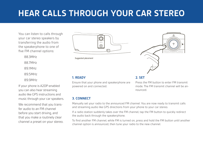### **HEAR CALLS THROUGH YOUR CAR STEREO**

You can listen to calls through your car stereo speakers by transferring the audio from the speakerphone to one of five FM channel options:

88.3MHz

88.7MHz

89.1MHz

89.5MHz

89.9MHz

If your phone is A2DP-enabled you can also hear streaming audio like GPS instructions and music through your car speakers.

We recommend that you transfer audio to an FM channel before you start driving, and that you make a routinely clear channel a preset on your stereo.



*Suggested placement*

#### **1. READY**

Ensure that your phone and speakerphone are powered on and connected.

**2. SET**

Press the FM button to enter FM transmit mode. The FM transmit channel will be announced.

### **3. CONNECT**

Manually set your radio to the announced FM channel. You are now ready to transmit calls and streaming audio like GPS directions from your phone to your car stereo.

If a radio station suddenly takes over the FM channel, tap the FM button to quickly redirect the audio back through the speakerphone.

To find another FM channel, while FM is turned on, press and hold the FM button until another channel option is announced, then tune your radio to the new channel.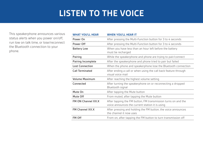### **LISTEN TO THE VOICE**

This speakerphone announces various status alerts when you power on/off, run low on talk time, or lose/reconnect the Bluetooth connection to your phone.

| <b>WHAT YOU'LL HEAR</b> | <b>WHEN YOU'LL HEAR IT</b>                                                                                       |
|-------------------------|------------------------------------------------------------------------------------------------------------------|
| Power On                | After pressing the Multi-Function button for 3 to 4 seconds                                                      |
| Power Off               | After pressing the Multi-Function button for 3 to 4 seconds                                                      |
| <b>Battery Low</b>      | When you have less than an hour left before the battery<br>must be recharged                                     |
| Pairing                 | While the speakerphone and phone are trying to pair/connect                                                      |
| Pairing Incomplete      | After the speakerphone and phone tried to pair but failed                                                        |
| <b>Lost Connection</b>  | When the phone and speakerphone lose the Bluetooth connection                                                    |
| <b>Call Terminated</b>  | After ending a call or when using the call back feature through<br>visual voice mail                             |
| <b>Volume Maximum</b>   | After reaching the highest volume setting                                                                        |
| Connected               | After turning the speakerphone on or reconnecting a dropped<br>Bluetooth signal                                  |
| Mute On                 | After tapping the Mute button                                                                                    |
| Mute Off                | From muted, after tapping the Mute button                                                                        |
| FM ON Channel XX.X      | After tapping the FM button, FM transmission turns on and the<br>voice announces the current station it is using |
| <b>FM Channel XX.X</b>  | After pressing and holding the FM button, the voice announces<br>the channel it now uses                         |
| <b>FM Off</b>           | From on, after tapping the FM button to turn transmission off                                                    |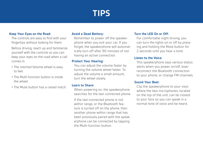### **TIPS**

#### **Keep Your Eyes on the Road:**

The controls are easy to find with your fingertips without looking for them.

Before driving, reach up and familiarize yourself with the controls so you can keep your eyes on the road when a call comes in.

- The notched Volume wheel is easy to feel.
- The Multi-function button is inside the wheel.
- The Mute button has a raised notch.

### **Avoid a Dead Battery:**

Remember to power off the speakerphone when you exit your car. If you forget, the speakerphone will automatically turn off after 90 minutes of not having an active connection.

#### **Protect Your Hearing:**

You can adjust the volume faster by turning the volume wheel faster. To adjust the volume a small amount, turn the wheel slowly.

#### **Learn to Share:**

When powering on, the speakerphone searches for the last connected phone.

If the last connected phone is not within range, or the Bluetooth feature is turned off on the phone, then another phone within range that has been previously paired with the speakerphone can be connected by tapping the Multi-function button.

### **Turn the LED On or Off:**

For comfortable night driving, you can turn the lights on or off by pressing and holding the Mute button for 2 seconds until you hear a tone.

### **Listen to the Voice:**

This speakerphone says various status alerts when you power on/off, lose/ reconnect the Bluetooth connection to your phone, or change FM channels.

### **Sound Your Best:**

Clip the speakerphone to your visor where the two microphones, located on the top of the unit, can be closest to your face so you can speak in a normal tone of voice and be heard.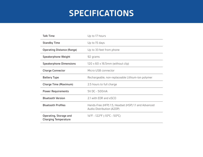### **SPECIFICATIONS**

| <b>Talk Time</b>                                      | Up to 17 hours                                                                    |
|-------------------------------------------------------|-----------------------------------------------------------------------------------|
| <b>Standby Time</b>                                   | Up to 15 days                                                                     |
| <b>Operating Distance (Range)</b>                     | Up to 33 feet from phone                                                          |
| Speakerphone Weight                                   | 92 grams                                                                          |
| <b>Speakerphone Dimensions</b>                        | $120 \times 60 \times 16.5$ mm (without clip)                                     |
| <b>Charge Connector</b>                               | Micro USB connector                                                               |
| <b>Battery Type</b>                                   | Rechargeable, non-replaceable Lithium-ion polymer                                 |
| Charge Time (Maximum)                                 | 2.5 hours to full charge                                                          |
| <b>Power Requirements</b>                             | 5V DC - 500mA                                                                     |
| <b>Bluetooth Version</b>                              | 2.1 with EDR and eSCO                                                             |
| <b>Bluetooth Profiles</b>                             | Hands-Free (HFP) 1.5, Headset (HSP) 1.1 and Advanced<br>Audio Distribution (A2DP) |
| Operating, Storage and<br><b>Charging Temperature</b> | 14°F - 122°F (-10°C - 50°C)                                                       |